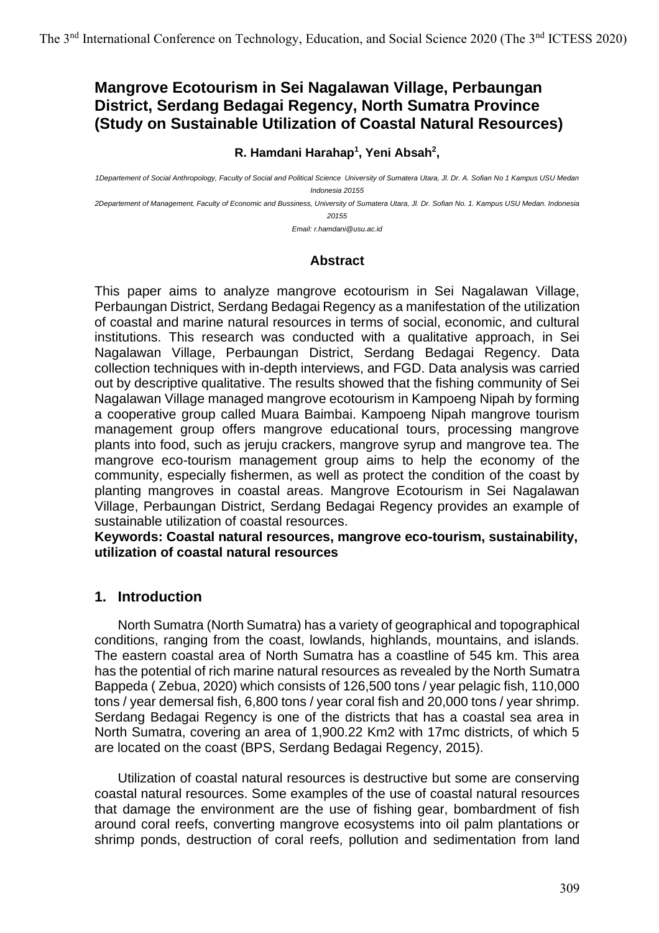# **Mangrove Ecotourism in Sei Nagalawan Village, Perbaungan District, Serdang Bedagai Regency, North Sumatra Province (Study on Sustainable Utilization of Coastal Natural Resources)**

#### **R. Hamdani Harahap<sup>1</sup> , Yeni Absah<sup>2</sup> ,**

*1Departement of Social Anthropology, Faculty of Social and Political Science University of Sumatera Utara, Jl. Dr. A. Sofian No 1 Kampus USU Medan Indonesia 20155* 

*2Departement of Management, Faculty of Economic and Bussiness, University of Sumatera Utara, Jl. Dr. Sofian No. 1. Kampus USU Medan. Indonesia 20155*

*Email: r.hamdani@usu.ac.id*

### **Abstract**

This paper aims to analyze mangrove ecotourism in Sei Nagalawan Village, Perbaungan District, Serdang Bedagai Regency as a manifestation of the utilization of coastal and marine natural resources in terms of social, economic, and cultural institutions. This research was conducted with a qualitative approach, in Sei Nagalawan Village, Perbaungan District, Serdang Bedagai Regency. Data collection techniques with in-depth interviews, and FGD. Data analysis was carried out by descriptive qualitative. The results showed that the fishing community of Sei Nagalawan Village managed mangrove ecotourism in Kampoeng Nipah by forming a cooperative group called Muara Baimbai. Kampoeng Nipah mangrove tourism management group offers mangrove educational tours, processing mangrove plants into food, such as jeruju crackers, mangrove syrup and mangrove tea. The mangrove eco-tourism management group aims to help the economy of the community, especially fishermen, as well as protect the condition of the coast by planting mangroves in coastal areas. Mangrove Ecotourism in Sei Nagalawan Village, Perbaungan District, Serdang Bedagai Regency provides an example of sustainable utilization of coastal resources.

**Keywords: Coastal natural resources, mangrove eco-tourism, sustainability, utilization of coastal natural resources**

### **1. Introduction**

North Sumatra (North Sumatra) has a variety of geographical and topographical conditions, ranging from the coast, lowlands, highlands, mountains, and islands. The eastern coastal area of North Sumatra has a coastline of 545 km. This area has the potential of rich marine natural resources as revealed by the North Sumatra Bappeda ( Zebua, 2020) which consists of 126,500 tons / year pelagic fish, 110,000 tons / year demersal fish, 6,800 tons / year coral fish and 20,000 tons / year shrimp. Serdang Bedagai Regency is one of the districts that has a coastal sea area in North Sumatra, covering an area of 1,900.22 Km2 with 17mc districts, of which 5 are located on the coast (BPS, Serdang Bedagai Regency, 2015).

Utilization of coastal natural resources is destructive but some are conserving coastal natural resources. Some examples of the use of coastal natural resources that damage the environment are the use of fishing gear, bombardment of fish around coral reefs, converting mangrove ecosystems into oil palm plantations or shrimp ponds, destruction of coral reefs, pollution and sedimentation from land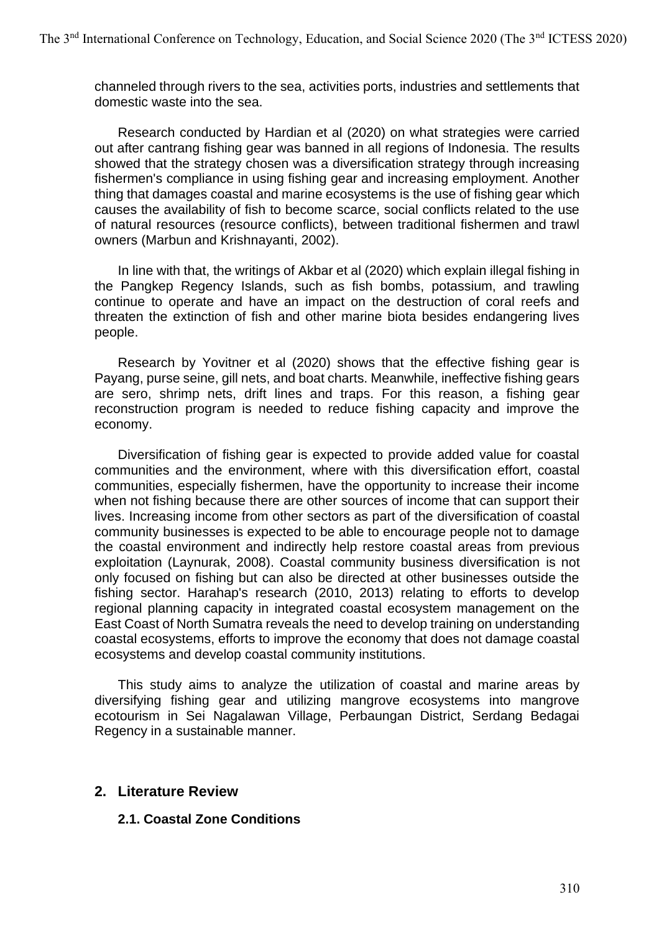channeled through rivers to the sea, activities ports, industries and settlements that domestic waste into the sea.

Research conducted by Hardian et al (2020) on what strategies were carried out after cantrang fishing gear was banned in all regions of Indonesia. The results showed that the strategy chosen was a diversification strategy through increasing fishermen's compliance in using fishing gear and increasing employment. Another thing that damages coastal and marine ecosystems is the use of fishing gear which causes the availability of fish to become scarce, social conflicts related to the use of natural resources (resource conflicts), between traditional fishermen and trawl owners (Marbun and Krishnayanti, 2002).

In line with that, the writings of Akbar et al (2020) which explain illegal fishing in the Pangkep Regency Islands, such as fish bombs, potassium, and trawling continue to operate and have an impact on the destruction of coral reefs and threaten the extinction of fish and other marine biota besides endangering lives people.

Research by Yovitner et al (2020) shows that the effective fishing gear is Payang, purse seine, gill nets, and boat charts. Meanwhile, ineffective fishing gears are sero, shrimp nets, drift lines and traps. For this reason, a fishing gear reconstruction program is needed to reduce fishing capacity and improve the economy.

Diversification of fishing gear is expected to provide added value for coastal communities and the environment, where with this diversification effort, coastal communities, especially fishermen, have the opportunity to increase their income when not fishing because there are other sources of income that can support their lives. Increasing income from other sectors as part of the diversification of coastal community businesses is expected to be able to encourage people not to damage the coastal environment and indirectly help restore coastal areas from previous exploitation (Laynurak, 2008). Coastal community business diversification is not only focused on fishing but can also be directed at other businesses outside the fishing sector. Harahap's research (2010, 2013) relating to efforts to develop regional planning capacity in integrated coastal ecosystem management on the East Coast of North Sumatra reveals the need to develop training on understanding coastal ecosystems, efforts to improve the economy that does not damage coastal ecosystems and develop coastal community institutions.

This study aims to analyze the utilization of coastal and marine areas by diversifying fishing gear and utilizing mangrove ecosystems into mangrove ecotourism in Sei Nagalawan Village, Perbaungan District, Serdang Bedagai Regency in a sustainable manner.

## **2. Literature Review**

### **2.1. Coastal Zone Conditions**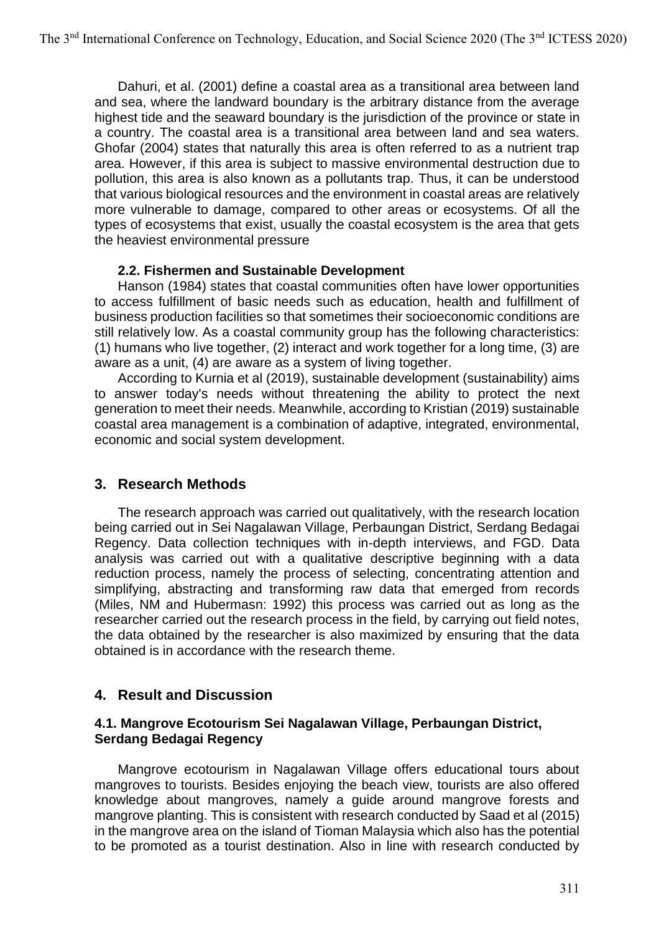Dahuri, et al. (2001) define a coastal area as a transitional area between land and sea, where the landward boundary is the arbitrary distance from the average highest tide and the seaward boundary is the jurisdiction of the province or state in a country. The coastal area is a transitional area between land and sea waters. Ghofar (2004) states that naturally this area is often referred to as a nutrient trap area. However, if this area is subject to massive environmental destruction due to pollution, this area is also known as a pollutants trap. Thus, it can be understood that various biological resources and the environment in coastal areas are relatively more vulnerable to damage, compared to other areas or ecosystems. Of all the types of ecosystems that exist, usually the coastal ecosystem is the area that gets the heaviest environmental pressure

### **2.2. Fishermen and Sustainable Development**

Hanson (1984) states that coastal communities often have lower opportunities to access fulfillment of basic needs such as education, health and fulfillment of business production facilities so that sometimes their socioeconomic conditions are still relatively low. As a coastal community group has the following characteristics: (1) humans who live together, (2) interact and work together for a long time, (3) are aware as a unit, (4) are aware as a system of living together.

According to Kurnia et al (2019), sustainable development (sustainability) aims to answer today's needs without threatening the ability to protect the next generation to meet their needs. Meanwhile, according to Kristian (2019) sustainable coastal area management is a combination of adaptive, integrated, environmental, economic and social system development.

## **3. Research Methods**

The research approach was carried out qualitatively, with the research location being carried out in Sei Nagalawan Village, Perbaungan District, Serdang Bedagai Regency. Data collection techniques with in-depth interviews, and FGD. Data analysis was carried out with a qualitative descriptive beginning with a data reduction process, namely the process of selecting, concentrating attention and simplifying, abstracting and transforming raw data that emerged from records (Miles, NM and Hubermasn: 1992) this process was carried out as long as the researcher carried out the research process in the field, by carrying out field notes, the data obtained by the researcher is also maximized by ensuring that the data obtained is in accordance with the research theme.

## **4. Result and Discussion**

### **4.1. Mangrove Ecotourism Sei Nagalawan Village, Perbaungan District, Serdang Bedagai Regency**

Mangrove ecotourism in Nagalawan Village offers educational tours about mangroves to tourists. Besides enjoying the beach view, tourists are also offered knowledge about mangroves, namely a guide around mangrove forests and mangrove planting. This is consistent with research conducted by Saad et al (2015) in the mangrove area on the island of Tioman Malaysia which also has the potential to be promoted as a tourist destination. Also in line with research conducted by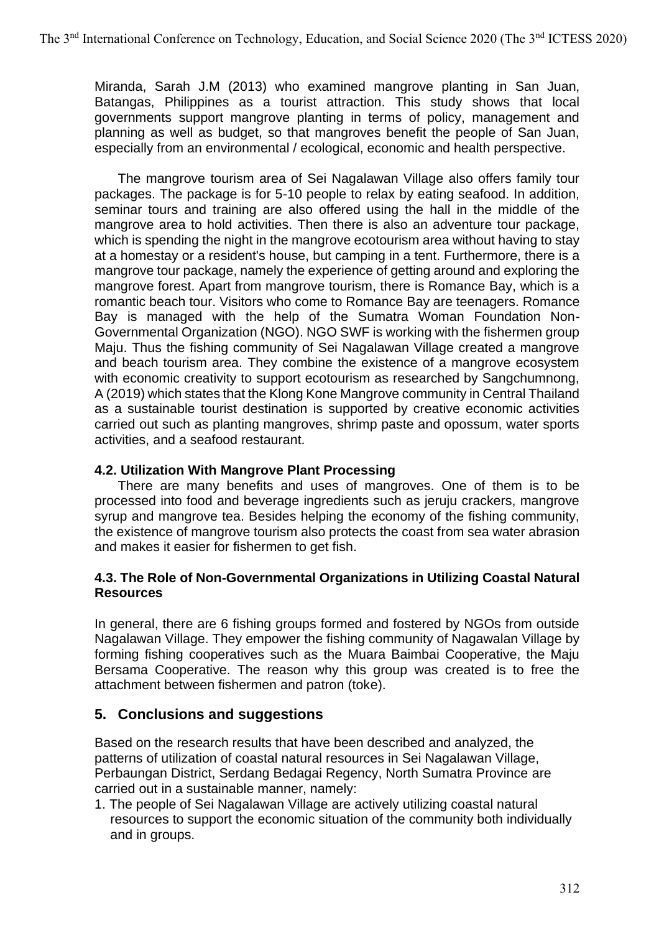Miranda, Sarah J.M (2013) who examined mangrove planting in San Juan, Batangas, Philippines as a tourist attraction. This study shows that local governments support mangrove planting in terms of policy, management and planning as well as budget, so that mangroves benefit the people of San Juan, especially from an environmental / ecological, economic and health perspective.

The mangrove tourism area of Sei Nagalawan Village also offers family tour packages. The package is for 5-10 people to relax by eating seafood. In addition, seminar tours and training are also offered using the hall in the middle of the mangrove area to hold activities. Then there is also an adventure tour package, which is spending the night in the mangrove ecotourism area without having to stay at a homestay or a resident's house, but camping in a tent. Furthermore, there is a mangrove tour package, namely the experience of getting around and exploring the mangrove forest. Apart from mangrove tourism, there is Romance Bay, which is a romantic beach tour. Visitors who come to Romance Bay are teenagers. Romance Bay is managed with the help of the Sumatra Woman Foundation Non-Governmental Organization (NGO). NGO SWF is working with the fishermen group Maju. Thus the fishing community of Sei Nagalawan Village created a mangrove and beach tourism area. They combine the existence of a mangrove ecosystem with economic creativity to support ecotourism as researched by Sangchumnong, A (2019) which states that the Klong Kone Mangrove community in Central Thailand as a sustainable tourist destination is supported by creative economic activities carried out such as planting mangroves, shrimp paste and opossum, water sports activities, and a seafood restaurant.

### **4.2. Utilization With Mangrove Plant Processing**

There are many benefits and uses of mangroves. One of them is to be processed into food and beverage ingredients such as jeruju crackers, mangrove syrup and mangrove tea. Besides helping the economy of the fishing community, the existence of mangrove tourism also protects the coast from sea water abrasion and makes it easier for fishermen to get fish.

### **4.3. The Role of Non-Governmental Organizations in Utilizing Coastal Natural Resources**

In general, there are 6 fishing groups formed and fostered by NGOs from outside Nagalawan Village. They empower the fishing community of Nagawalan Village by forming fishing cooperatives such as the Muara Baimbai Cooperative, the Maju Bersama Cooperative. The reason why this group was created is to free the attachment between fishermen and patron (toke).

## **5. Conclusions and suggestions**

Based on the research results that have been described and analyzed, the patterns of utilization of coastal natural resources in Sei Nagalawan Village, Perbaungan District, Serdang Bedagai Regency, North Sumatra Province are carried out in a sustainable manner, namely:

1. The people of Sei Nagalawan Village are actively utilizing coastal natural resources to support the economic situation of the community both individually and in groups.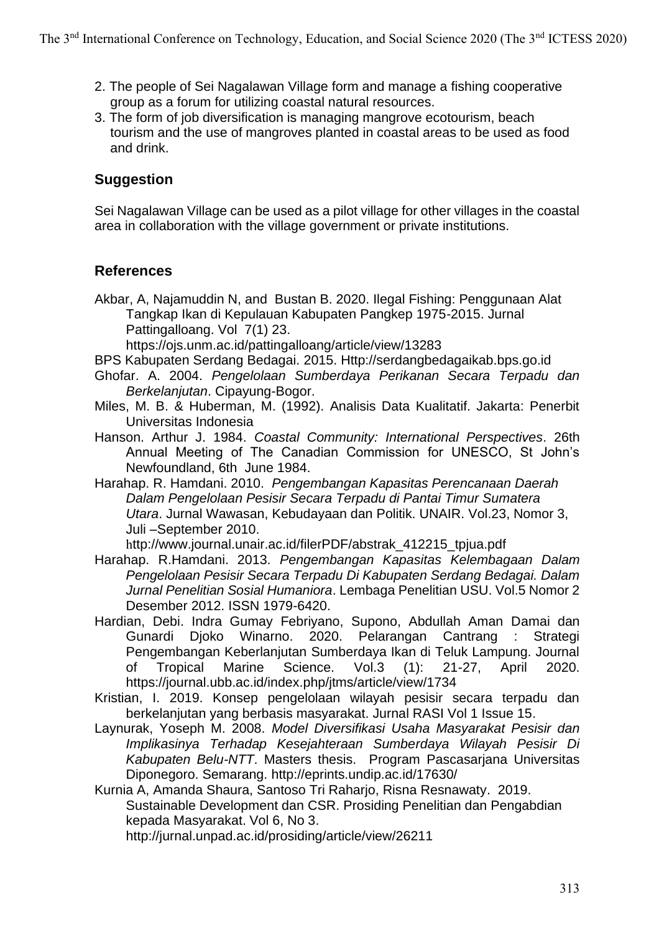- 2. The people of Sei Nagalawan Village form and manage a fishing cooperative group as a forum for utilizing coastal natural resources.
- 3. The form of job diversification is managing mangrove ecotourism, beach tourism and the use of mangroves planted in coastal areas to be used as food and drink.

# **Suggestion**

Sei Nagalawan Village can be used as a pilot village for other villages in the coastal area in collaboration with the village government or private institutions.

# **References**

Akbar, A, Najamuddin N, and Bustan B. 2020. Ilegal Fishing: Penggunaan Alat Tangkap Ikan di Kepulauan Kabupaten Pangkep 1975-2015. Jurnal Pattingalloang. Vol 7(1) 23.

https://ojs.unm.ac.id/pattingalloang/article/view/13283

- BPS Kabupaten Serdang Bedagai. 2015. Http://serdangbedagaikab.bps.go.id
- Ghofar. A. 2004. *Pengelolaan Sumberdaya Perikanan Secara Terpadu dan Berkelanjutan*. Cipayung-Bogor.
- Miles, M. B. & Huberman, M. (1992). Analisis Data Kualitatif. Jakarta: Penerbit Universitas Indonesia
- Hanson. Arthur J. 1984. *Coastal Community: International Perspectives*. 26th Annual Meeting of The Canadian Commission for UNESCO, St John's Newfoundland, 6th June 1984.
- Harahap. R. Hamdani. 2010. *Pengembangan Kapasitas Perencanaan Daerah Dalam Pengelolaan Pesisir Secara Terpadu di Pantai Timur Sumatera Utara*. Jurnal Wawasan, Kebudayaan dan Politik. UNAIR. Vol.23, Nomor 3, Juli –September 2010.

http://www.journal.unair.ac.id/filerPDF/abstrak\_412215\_tpjua.pdf

- Harahap. R.Hamdani. 2013. *Pengembangan Kapasitas Kelembagaan Dalam Pengelolaan Pesisir Secara Terpadu Di Kabupaten Serdang Bedagai. Dalam Jurnal Penelitian Sosial Humaniora*. Lembaga Penelitian USU. Vol.5 Nomor 2 Desember 2012. ISSN 1979-6420.
- Hardian, Debi. Indra Gumay Febriyano, Supono, Abdullah Aman Damai dan Gunardi Djoko Winarno. 2020. Pelarangan Cantrang : Strategi Pengembangan Keberlanjutan Sumberdaya Ikan di Teluk Lampung. Journal of Tropical Marine Science. Vol.3 (1): 21-27, April 2020. https://journal.ubb.ac.id/index.php/jtms/article/view/1734
- Kristian, I. 2019. Konsep pengelolaan wilayah pesisir secara terpadu dan berkelanjutan yang berbasis masyarakat. Jurnal RASI Vol 1 Issue 15.
- Laynurak, Yoseph M. 2008. *Model Diversifikasi Usaha Masyarakat Pesisir dan Implikasinya Terhadap Kesejahteraan Sumberdaya Wilayah Pesisir Di Kabupaten Belu-NTT*. Masters thesis. Program Pascasarjana Universitas Diponegoro. Semarang. http://eprints.undip.ac.id/17630/

Kurnia A, Amanda Shaura, Santoso Tri Raharjo, Risna Resnawaty. 2019. Sustainable Development dan CSR. Prosiding Penelitian dan Pengabdian kepada Masyarakat. Vol 6, No 3. http://jurnal.unpad.ac.id/prosiding/article/view/26211